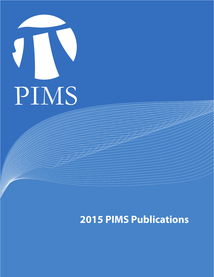

## **2015 PIMS Publications**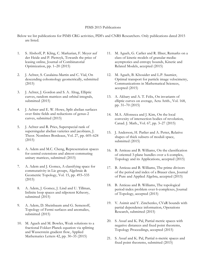## PIMS 2015 Publications

Below we list publications for PIMS CRG activities, PDFs and CNRS Researchers. Only publications dated 2015 are listed.

- 1. S. Abshoff, P. Kling, C. Markarian, F. Meyer auf der Heide and P. Pietrzyk, Towards the price of leasing online, Journal of Combinatorial Optimization, pp. 1–20 (2015)
- 2. J. Achter, S. Casalaina-Martin and C. Vial, On descending cohomology geometrically, submitted (2015)
- 3. J. Achter, J. Gordon and S. A. Altug, Elliptic curves, random matrices and orbital integrals, submitted (2015)
- 4. J. Achter and E. W. Howe, Split abelian surfaces over finite fields and reductions of genus-2 curves, submitted (2015)
- 5. J. Achter and R. Pries, Superspecial rank of supersingular abelian varieties and jacobians, J. Theor. Nombres Bordeaux, Vol. 27, pp. 605–624 (2015)
- 6. A. Adem and M.C. Cheng, Representation spaces for central extensions and almost commuting unitary matrices, submitted (2015)
- 7. A. Adem and J. Gomez, A classifying space for commutativity in Lie groups, Algebraic & Geometric Topology, Vol. 15, pp. 493–535 (2015)
- 8. A. Adem, J. Gomez, J. Lind and U. Tillman, Infinite loop spaces and nilpotent Ktheory, submitted (2015)
- 9. A. Adem, D. Sheinbaum amd G. Semenoff, Topology of Fermi surfaces and anomalies, submitted (2015)
- 10. M. Agueh and M. Bowles, Weak solutions to a fractional Fokker-Planck equation via splitting and Wasserstein gradient flow, Applied Mathematics Letters 42, pp. 30–35 (2015)
- 11. M. Agueh, G. Carlier and R. Illner, Remarks on a class of kinetic models of granular media: asymptotics and entropy bounds, Kinetic and Related Models, accepted (2015)
- 12. M. Agueh, B. Khouider and L.P. Saumier, Optimal transport for particle image velocimetry, Communications in Mathematical Sciences, accepted (2015)
- 13. A. Akbary and A. T. Felix, On invariants of elliptic curves on average, Acta Arith., Vol. 168, pp. 31–70 (2015)
- 14. M.A. Alfonseca and J. Kim, On the local convexity of intersection bodies of revolution, Canad. J. Math., Vol. 67, pp. 3–27 (2015)
- 15. J. Anderson, H. Parlier and A. Pettet, Relative shapes of thick subsets of moduli space, submitted (2015)
- 16. B. Antieau and B. Williams, On the classification of oriented 3-plane bundles over a 6-complex, Topology and its Applications, accepted (2015)
- 17. B. Antieau and B. Williams, The prime divisors of the period and index of a Brauer class, Journal of Pure and Applied Algebra, accepted (2015)
- 18. B. Antieau and B. Williams, The topological period-index problem over 6-complexes, Journal of Topology, accepted (2015)
- 19. V. Asimit and Y. Zinchenko, CVaR bounds with partial dependence information, Operations Research, submitted (2015)
- 20. S. Assaf and K. Pal, Partial metric spaces with negative distances and fixed point theorems, Topology Proceedings, accepted (2015)
- 21. S. Assaf and K. Pal, Partial n-metric spaces and fixed point theorems, submitted (2015)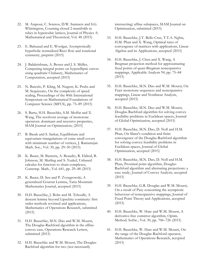- 22. M. Atapour, C. Soteros, D.W. Sumners and S.G. Whittington, Counting closed 2-manifolds in tubes in hypercubic lattices, Journal of Physics A: Mathematical and Theoretical, Vol. 48 (2015)
- 23. E. Bahuaud and E. Woolgar, Asymptotically hyperbolic normalized Ricci flow and rotational symmetry, preprint (2015)
- 24. J. Balakrishnan, A. Besser and J. S. Müller, Computing integral points on hyperelliptic curves using quadratic Chabauty, Mathematics of Computation, accepted (2015)
- 25. N. Barcelo, P. Kling, M. Nugent, K. Pruhs and M. Scquizzato, On the complexity of speed scaling, Proceedings of the 40th International Symposium on Mathematical Foundations of Computer Science (MFCS), pp. 75–89 (2015)
- 26. S. Bartz, H.H. Bauschke, S.M. Moffat and X. Wang, The resolvent average of monotone operators: dominant and recessive properties, SIAM Journal on Opitmization, (2015)
- 27. B. Basak and S. Sarkar, Equilibrium and equivariant triangulations of some small covers with minimum number of vertices, J. Ramanujan Math. Soc., Vol. 30, pp. 29–50 (2015)
- 28. K. Bauer, M. Basterra, A. Beaudry, R. Eldred, B. Johnson, M. Merling and S. Yeakel, Unbased calculus for functors to chain complexes, Contemp. Math., Vol. 641, pp. 29–48 (2015)
- 29. K. Bauer, D. Sen and P. Zvengrowski, A generalized Goursat Lemma, Tatra Mountain Mathematics Journal, accepted (2015)
- 30. H.H. Bauschke, J. Bolte and M. Teboulle, A descent lemma beyond Lipschitz continuity: first order methods revisited and applications, Mathematics of Operations Research, submitted (2015)
- 31. H.H. Bauschke, M.N. Dao and W.M. Moursi, The Douglas-Rachford algorithm in the affineconvex case, Operations Research Letters, submitted (2015)
- 32. H.H. Bauschke and W.M. Moursi, The Douglas-Rachford algorithm for two (not necessarily

intersecting) affine subspaces, SIAM Journal on Optimization, submitted (2015)

- 33. H.H. Bauschke, J.Y. Bello Cruz, T.T.A. Nghia, H.M. Phan and X. Wang, Optimal rates of convergence of matrices with applications, Linear Algebra and its Applications, accepted (2015)
- 34. H.H. Bauschke, J. Chen and X. Wang, A Bregman projection method for approximating fixed points of quasi-Bregman nonexpansive mappings, Applicable Analysis 94, pp. 75–84 (2015)
- 35. H.H. Bauschke, M.N. Dao and W.M. Moursi, On Fejer monotone sequences and nonexpansive mappings, Linear and Nonlinear Analysis, accepted (2015)
- 36. H.H. Bauschke, M.N. Dao and W.M. Moursi, Douglas-Rachford algorithm for solving convex feasibility problems in Euclidean spaces, Journal of Global Optimization, accepted (2015)
- 37. H.H. Bauschke, M.N. Dao, D. Noll and H.M. Phan, On Slater's condition and finite convergence of the Douglas-Rachford algorithm for solving convex feasibility problems in Euclidean spaces, Journal of Global Optimization, accepted (2015)
- 38. H.H. Bauschke, M.N. Dao, D. Noll and H.M. Phan, Proximal point algorithm, Douglas-Rachford algorithm and alternating projections: a case study, Journal of Convex Analysis, accepted (2015)
- 39. H.H. Bauschke, G.R. Douglas and W.M. Moursi, On a result of Pazy concerning the asymptotic behaviour of nonexpansive mappings, Journal of Fixed Point Theory and Applications, accepted (2015)
- 40. H.H. Bauschke, W. Hare and W.M. Moursi, A derivative-free comirror algorithm, Optim. Method. Softw., Vol. 30, pp. 706–726 (2015)
- 41. H.H. Bauschke, W. Hare and W.M. Moursi, On the range of the Douglas-Rachford operator, Mathematics of Operations Research, accepted (2015)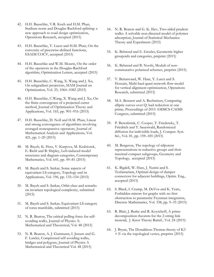- 42. H.H. Bauschke, V.R. Koch and H.M. Phan, Stadium norm and Douglas-Rachford splitting: a new approach to road design optimization, Operations Research, accepted (2015)
- 43. H.H. Bauschke, Y. Lucet and H.M. Phan, On the convexity of piecewise-defined functions, ESAIM COCV, accepted (2015)
- 44. H.H. Bauschke and W.M. Moursi, On the order of the operators in the Douglas-Rachford algorithm, Optimization Letters, accepted (2015)
- 45. H.H. Bauschke, C. Wang, X. Wang and J. Xu, On subgradient projectors, SIAM Journal on Optimization, Vol. 25, 1064–1082 (2015)
- 46. H.H. Bauschke, C.Wang, X. Wang and J. Xu, On the finite convergence of a projected cutter method, Journal of Optimization Theory and Applications, Vol. 165, pp. 901–916 (2015)
- 47. H.H. Bauschke, D. Noll and H.M. Phan, Linear and strong convergence of algorithms involving averaged nonexpansive operators, Journal of Mathematical Analysis and Applications, Vol. 421, pp. 1–20 (2015)
- 48. M. Bayeh, K. Hess, V. Karpova, M. Kedziorek, E. Riehl and B. Shipley, Left-induced model structures and diagram categories, Contemporary Mathematics, Vol. 641, pp. 49–81 (2015)
- 49. M. Bayeh and S. Sarkar, Some aspects of equivariant LS-category, Topology and its Applications, Vol. 196, pp. 133–154 (2015)
- 50. M. Bayeh and S. Sarkar, Orbit class and remarks on invariant topological complexity, submitted (2015)
- 51. M. Bayeh and S. Sarkar, Equivariant LS-category of torus manifolds, submitted (2015)
- 52. N. R. Beaton, The critical pulling force for selfavoiding walks, Journal of Physics A: Mathematical and Theoretical, Vol. 48 (2015)
- 53. N. R. Beaton, A. J. Guttmann, I. Jensen and G. F. Lawler, Compressed self-avoiding walks, bridges and polygons, Journal of Physics A Mathematical and Theoretical Vol. 48 (2015)
- 54. N. R. Beaton and G. K. Iliev, Two-sided prudent walks: A solvable non-directed model of polymer adsorption, Journal of Statistical Mechanics: Theory and Experiment (2015)
- 55. K. Behrend and E. Getzler, Geometric higher groupoids and categories, preprint (2015)
- 56. K. Behrend and B. Noohi, Moduli of noncommutative polarized schemes, preprint (2015)
- 57. V. Beiranvand, W. Hare, Y. Lucet and S. Hossain, Multi-haul quasi network flow model for vertical alignment optimization, Operations Research, submitted (2015)
- 58. M.A. Bennett and A. Rechnitzer, Computing elliptic curves over Q: bad reduction at one prime, Proceedings of 2015 AMMCS-CAIMS Congress, submitted (2015)
- 59. P. Berenbrink, C. Cooper, T. Friedetzky, T. Friedrich and T. Sauerwald, Randomized diffusion for indivisible loads, J. Comput. Syst. Sci., Vol. 81, pp. 159–185 (2015)
- 60. M. Bergeron, The topology of nilpotent representations in reductive groups and their maximal compact subgroups, Geometry and Topology, accepted (2015)
- 61. K. Bigdeli, W. Hare, J. Nutini and S. Tesfamariam, Optimal design of damper connectors for adjacent buildings, Optim. Eng., accepted (2015)
- 62. S. Black, I. Crump, M. DeVos and K. Yeats, Forbidden minors for graphs with no first obstruction to parametric Feynman integration, Discrete Mathematics, Vol. 338, pp. 9–35 (2015)
- 63. R. Blair, J. Burke and R. Koytcheff, A prime decomposition theorem for the 2-string link monoid, J. Knot Theory Ramif., Vol. 24 (2015)
- 64. J. Bryan, The Donaldson-Thomas theory of K3  $\times$  E via the topological vertex, preprint (2015)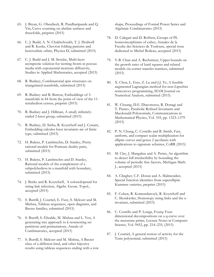- 65. J. Bryan, G. Oberdieck, R. Pandharipande and Q. Yin, Curve counting on abelian surfaces and threefolds, preprint (2015)
- 66. C. J. Budd, A. N. Chakhchoukh, T. J. Dodwell and R. Kuske, Chevron folding patterns and heteroclinic orbits, Physica D, submitted (2015)
- 67. C. J. Budd and J. M. Stockie, Multi-layer asymptotic solution for wetting fronts in porous media with exponential moisture diffusivity, Studies in Applied Mathematics, accepted (2015)
- 68. R. Budney, Combinatorial spin structures on triangulated manifolds, submitted (2015)
- 69. R. Budney and B. Burton, Embeddings of 3 manifolds in S4 from the point of view of the 11 tetrahedron census, preprint (2015)
- 70. R. Budney and J. Hillman, A small, infinitelyended 2-knot group, submitted (2015)
- 71. R. Budney, D. Sinha, R. Koytcheff and J. Conant, Embedding calculus knot invariants are of finite type, submitted (2015)
- 72. H. Bulens, P. Lambrechts, D. Stanley, Pretty rational models for Poincare duality pairs, submitted (2015)
- 73. H. Bulens, P. Lambrechts and D. Stanley, Rational models of the complement of a subpolyhedron in a manifold with boundary, submitted (2015)
- 74. J. Burke and R. Koytcheff, A coloredoperad for string link infection, Algebr. Geom. Topol., accepted (2015)
- 75. S. Burrill, J. Courtiel, E. Fusy, S. Melczer and M. Mishna, Tableau sequences, open diagrams, and Baxter families, submitted (2015)
- 76. S. Burrill, S. Elizalde, M. Mishna and L. Yen, A generating tree approach to k-nonnesting set partitions and permutations, Annals of Combinatorics, accepted (2015)
- 77. S. Burrill, S. Melczer and M. Mishna, A Baxter class of a different kind, and other bijective results using tableau sequences ending with a row

shape, Proceedings of Formal Power Series and Algebraic Combinatorics (2015)

- 78. D. Calegari and D. Rolfsen, Groups of PL homeomorphisms of cubes, Annales de la Faculte des Sciences de Toulouse, special issue dedicated to Michel Boileau, accepted (2015)
- 79. Y-B. Chan and A. Rechnitzer, Upper bounds on the growth rates of hard squares and related models via corner transfer matrices, submitted (2015)
- 80. X. Chen, L. Guo, Z. Lu and J.J. Ye, A feasible augmented Lagrangian method for non-Lipschitz nonconvex programming, SIAM Journal on Numerical Analysis, submitted (2015)
- 81. W. Chuang, D.E. Diaconescu, R. Donagi and T. Pantev, Parabolic Refined Invariants and Macdonald Polynomials, Communications in Mathematical Physics, Vol. 335, pp. 1323–1379 (2015)
- 82. P. N. Chung, C. Costello and B. Smith, Fast, uniform, and compact scalar multiplication for elliptic curves and genus 2 jacobians with applications to signature schemes, CoRR (2015)
- 83. M. Clay, J. Mangahas and A. Pettet, An algorithm to detect full irreducibility by bounding the volume of periodic free factors, Michigan Math. J., accepted (2015)
- 84. A. Clingher, C.F. Doran and A. Malmendier, Special function identities from superelliptic Kummer varieties, preprint (2015)
- 85. F. Cohen, R. Komendarczyk, R. Koytcheff and C. Shonkwiler, Homotopy string links and the κinvariant, submitted (2015)
- 86. C. Costello and P. Longa, Fourq: Fourdimensional decompositions on a q-curve over the mersenne prime, Lecture Notes in Computer Science, Vol. 9452, pp. 214–235, (2015)
- 87. J. Courtiel, A general notion of activity for the Tutte polynomial, submitted (2015)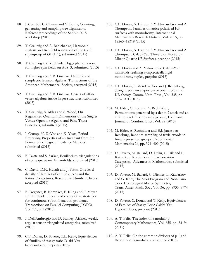- 88. J. Courtiel, C. Chauve and Y. Ponty, Counting, generating and sampling tree alignments, Refereed proceedings of the SeqBio 2015 workshop (2015)
- 89. T. Creutzig and A. Babichenko, Harmonic analysis and free field realization of the takiff supergroup of  $GL(1|1)$ , submitted (2015)
- 90. T. Creutzig and Y. Hikida, Higgs phenomenon for higher spin fields on AdS\_3, submitted (2015)
- 91. T. Creutzig and A.R. Linshaw, Orbifolds of symplectic fermion algebras, Transactions of the American Mathematical Society, accepted (2015)
- 92. T. Creutzig and A.R. Linshaw, Cosets of affine vertex algebras inside larger structures, submitted (2015)
- 93. T. Creutzig, A. Milas and S. Wood, On Regularised Quantum Dimensions of the Singlet Vertex Operator Algebra and False Theta Functions, submitted (2015)
- 94. I. Crump, M. DeVos and K. Yeats, Period Preserving Properties of an Invariant from the Permanent of Signed Incidence Matrices, submitted (2015)
- 95. B. Datta and S. Sarkar, Equilibrium triangulations of some quasitoric 4-manifolds, submitted (2015)
- 96. C. David, D.K. Huynh and J. Parks, One-level density of families of elliptic curves and the Ratios Conjectures, Research in Number Theory, accepted (2015)
- 97. B. Degener, B. Kempkes, P. Kling and F. Meyer auf der Heide, Linear and competitive strategies for continuous robot formation problems, Transactions on Parallel Computing (TOPC), Vol. 2.1, p. 2 (2015)
- 98. I. Dell'Ambrogio and D. Stanley, Affinely weakly regular tensor triangulated categories, submitted (2015)
- 99. C.F. Doran, D. Favero, T.L. Kelly, Equivalences of families of stacky toric Calabi-Yau hypersurfaces, preprint (2015)
- 100. C.F. Doran, A. Harder, A.Y. Novoseltsev and A. Thompson, Families of lattice polarized K3 surfaces with monodromy, International Mathematics Research Notices, Vol. 2015, pp. 12265–12318 (2015)
- 101. C.F. Doran, A. Harder, A.Y. Novoseltsev and A. Thompson, Calabi-Yau Threefolds Fibred by Mirror Quartic K3 Surfaces, preprint (2015)
- 102. C.F. Doran and A. Malmendier, Calabi-Yau manifolds realizing symplectically rigid monodromy tuples, preprint (2015)
- 103. C.F. Doran, S. Mendez-Diez and J. Rosenberg, String theory on elliptic curve orientifolds and KR-theory, Comm. Math. Phys., Vol. 335, pp. 955–1001 (2015)
- 104. M. Elder, G. Lee and A. Rechnitzer, Permutations generated by a depth 2 stack and an infinite stack in series are algebraic, Electronic Journal of Combinatorics, Vol. 22 (2015)
- 105. M. Elder, A. Rechnitzer and E.J. Janse van Rensburg, Random sampling of trivial words in finitely presented groups, Experimental Mathematics 24, pp. 391–409 (2015)
- 106. D. Favero, M. Ballard, D. Deliu, U. Isik and L. Katzarkov, Resolutions in Factorization Categories, Advances in Mathematics, submitted (2015)
- 107. D. Favero, M. Ballard, C. Diemer, L. Katzarkov and G. Kerr, The Mori Program and Non-Fano Toric Homological Mirror Symmetry, Trans. Amer. Math. Soc., Vol. 36, pp. 8933–8974 (2015)
- 108. D. Favero, C. Doran and T. Kelly, Equivalences of Families of Stacky Toric Calabi-Yau Hypersurfaces, preprint (2015)
- 109. A. T. Felix, The index of a modulo p, Contemporary Mathematics, Vol. 655, pp. 83–96 (2015)
- 110. A. T. Felix, On the common divisors of p-1 and the order of a modulo p, submitted (2015)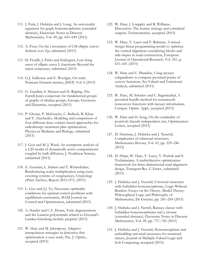- 111. J. Fiala, J. Hubicka and J. Long, An universality argument for graph homomorphisms (extended abstract), Electronic Notes in Discrete Mathematics, Vol. 49, pp. 643–649 (2015)
- 112. A. Fiori, On the j-invariants of CM-elliptic curves defined over Zp, submitted (2015)
- 113. D. Fiorilli, J. Parks and Södergren, Low-lying zeros of elliptic curve L-functions: Beyond the ratios conjecture, submitted (2015)
- 114. G.J. Galloway and E. Woolgar, On static Poincaré-Einstein metrics, JHEP, Vol. 6 (2015)
- 115. G. Gandini, S. Meinert and H. Rüping, The Farrell-Jones conjecture for fundamental groups of graphs of abelian groups, Groups, Geometry and Dynamics, accepted (2015)
- 116. P. Ghomi, P. McGeachy, C. Bullock, R. Khan and Y. Zinchenko, Modeling and comparison of four different dose-volume-based approaches for radiotherapy treatment plan optimization, Physics in Medicine and Biology, submitted (2015)
- 117. J. Gou and M. J. Ward, An asymptotic analysis of a 2-D model of dynamically active compartments coupled by bulk diffusion, J. Nonlinear Science, submitted (2015)
- 118. E. Guerrini, L. Imbert and T. Winterhalter, Randomizing scalar multiplication using exact covering systems of congruences, Cryptology ePrint Archive, Report 2015/475, (2015)
- 119. L. Guo and J.J. Ye, Necessary optimality conditions for optimal control problems with equilibrium constraints, SIAM Journal on Control and Optimization, submitted (2015)
- 120. A. Harder and C.F. Doran, Toric degenerations and the Laurent polynomials related to Givental's Landau-Ginzburg models, preprint (2015)
- 121. W. Hare and M. Jaberipour, Adaptive interpolation strategies in derivative-free optimization: a case study, Pac. J. Optim., accepted (2015)
- 122. W. Hare, J. Loeppky and B. Williams, Discussion: The nomax strategy and correlated outputs, Technometrics, accepted (2015)
- 123. W. Hare, Y. Lucet and F. Rahman, A mixedinteger linear programming model to optimize the vertical alignment considering blocks and side-slopes in road construction, European Journal of Operational Research, Vol. 241, p. 631–641 (2015)
- 124. W. Hare and C. Planiden, Using inexact subgradients to compute proximal points of convex functions, Set-Valued and Variational Analysis, submitted (2015)
- 125. W. Hare, M. Solodov and C. Sagastizabal, A proximal bundle method for nonsmooth nonconvex functions with inexact information, Comput. Optim. Appl., accepted (2015)
- 126. W. Hare and H. Song, On the cardinality of positively linearly independent sets, Optimization Letters, accepted (2015)
- 127. D. Hartman, J. Hubicka and J. Nesetril, Complexities of relational structures, Mathematica Slovaca, Vol. 65, pp. 229–246 (2015)
- 128. D. Hirpa, W. Hare, Y. Lucet, Y. Pushak and S. Tesfamariam, A multiobjective optimization framework for three-dimensional road alignment design, Transport Res. C-Emer., submitted (2015)
- 129. J. Hubicka and J. Nesetril, Universal structures with forbidden homomorphisms, Logic Without Borders: Essays on Set Theory, Model Theory, Philosophical Logic and Philosophy of Mathematics, De Gruyter, pp. 241–264 (2015)
- 130. J. Hubicka and J. Nestril, Ramsey classes with forbidden homomorphisms and a closure (extended abstract), Electronic Notes in Discrete Mathematics, Vol. 49, pp. 737–745 (2015)
- 131. J. Hubicka and J. Nesetril, Homomorphism and embedding universal structures for restricted classes, Journal of Multiple-Valued Logic and Soft Computing, accepted (2015)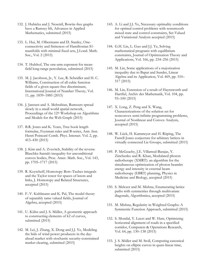- 132. J. Hubicka and J. Nesetril, Bowtie-free graphs have a Ramsey lift, Advances in Applied Mathematics, submitted (2015)
- 133. L. Hui, M. Olbermann and D. Stanley, Oneconnectivity and finiteness of Hamiltonian S1 manifolds with minimal fixed sets, J.Lond. Math. Soc., Vol. 2 (2015)
- 134. T. Hulshof, The one-arm exponent for meanfield long-range percolation, submitted (2015)
- 135. M. J. Jacobson, Jr., Y. Lee, R. Scheidler and H. C. Williams, Construction of all cubic function fields of a given square-free discriminant, International Journal of Number Theory, Vol. 11, pp. 1839–1885 (2015)
- 136. J. Janssen and A. Mehrabian, Rumours spread slowly in a small world spatial network, Proceedings of the 12th Workshop on Algorithms and Models for the Web Graph (2015)
- 137. B.R. Jones and K. Yeats, Tree hook length formulae, Feynman rules and B-series, Ann. Inst. Henri Poincaré Comb. Phys. Interact. Vol. 2, pp. 413–430 (2015)
- 138. J. Kim and A. Zvavitch, Stability of the reverse Blaschke-Santaló inequality for unconditional convex bodies, Proc. Amer. Math. Soc., Vol. 143, pp. 1705–1717 (2015)
- 139. R. Koytcheff, Homotopy Bott–Taubes integrals and the Taylor tower for spaces of knots and links, J. Homotopy and Related Structures, accepted (2015)
- 140. F.-V. Kuhlmann and K. Pal, The model theory of separably tame valued fields, Journal of Algebra, accepted (2015)
- 141. U. Kühn and J. S. Müller, A geometric approach to constructing elements of k2 of curves, submitted (2015)
- 142. M. Lei, J. Zhang, X. Dong and J.J. Ye, Modeling the bids of wind power producers in the dayahead market with stochastic security-constrained market clearing, submitted (2015)
- 143. A. Li and J.J. Ye, Necessary optimality conditions for optimal control problems with nonsmooth mixed state and control constraints, Set-Valued and Variational Analysis accepted (2015)
- 144. G.H. Lin, L. Guo and J.J. Ye, Solving mathematical programs with equilibrium constraints, Journal of Optimization Theory and Applications, Vol. 166, pp. 234–256 (2015)
- 145. M. Lin, Some applications of a majorization inequality due to Bapat and Sunder, Linear Algebra and its Application, Vol. 469, pp. 510– 517 (2015)
- 146. M. Lin, Extension of a result of Haynsworth and Hartfiel, Archiv der Mathematik, Vol. 104, pp. 93–100 (2015)
- 147. X. Long, Z. Peng and X. Wang, Characterizations of the solution set for nonconvex semi-infinite programming problems, Journal of Nonlinear and Convex Analysis, accepted (2015)
- 148. W. Lück, H. Kammeyer and H. Rüping, The Farrell-Jones conjecture for arbitrary lattices in virtually connected Lie Groups, submitted (2015)
- 149. P. McGeachy, J.E. Villarreal-Barajas, Y. Zinchenko and R. Khan, Modulated photon radiotherapy (XMRT): an algorithm for the simultaneous optimization of photon beamlet energy and intensity in external beam radiotherapy (EBRT) planning, Physics in Medicine and Biology, accepted (2015)
- 150. S. Melczer and M. Mishna, Enumerating lattice paths with symmetries through multivariate diagonals, Algorithmica, accepted (2015)
- 151. M. Mishna, Regularity in Weighted Graphs: A Symmetric Function Approach, submitted (2015)
- 152. S. Mondal, Y. Lucet and W. Hare, Optimizing horizontal alignment of roads in a specified corridor, Computers & Operations Research, Vol. 64, pp. 130–138 (2015)
- 153. J. S. Müller and M. Stoll, Computing canonical heights on elliptic curves in quasi-linear time, submitted (2015)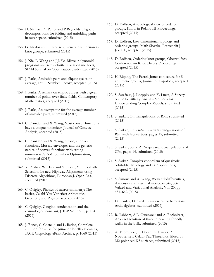- 154. H. Namazi, A. Pettet and P.Reynolds, Ergodic decompositions for folding and unfolding paths in outer space, submitted (2015)
- 155. G. Naylor and D. Rolfsen, Generalized torsion in knot groups, submitted (2015)
- 156. J. Nie, L. Wang and J.J. Ye, Bilevel polynomial programs and semidefinite relaxation methods, SIAM Journal on Optimization, submitted (2015)
- 157. J. Parks, Amicable pairs and aliquot cycles on average, Int. J. Number Theory, accepted (2015)
- 158. J. Parks, A remark on elliptic curves with a given number of points over finite fields, Contempory Mathematics, accepted (2015)
- 159. J. Parks, An asymptotic for the average number of amicable pairs, submitted (2015)
- 160. C. Planiden and X. Wang, Most convex functions have a unique minimizer, Journal of Convex Analysis, accepted (2015)
- 161. C. Planiden and X. Wang, Strongly convex functions, Moreau envelopes and the generic nature of convex functions with strong minimizers, SIAM Journal on Optimization, submitted (2015)
- 162. Y. Pushak, W. Hare and Y. Lucet, Multiple-Path Selection for new Highway Alignments using Discrete Algorithms, European J. Oper. Res., accepted (2015)
- 163. C. Quigley, Physics of mirror symmetry: The basics, Calabi-Yau Varieties: Arithmetic, Geometry and Physics, accepted (2015)
- 164. C. Quigley, Gaugino condensation and the cosmological constant, JHEP Vol. 1506, p. 104 (2015)
- 165. J. Renes, C. Costello and L. Batina, Complete addition formulas for prime order elliptic curves, IACR Cryptology ePrint Archive, p. 1060 (2015)
- 166. D. Rolfsen, A topological view of ordered groups, Knots in Poland III Proceedings, accepted (2015)
- 167. D. Rolfsen, Low dimensional topology and ordering groups, Math Slovaka, Festschrift J. Jakubik, accepted (2015)
- 168. D. Rolfsen, Ordering knot groups, Oberwolfach Conference on Knot Theory Proceedings, accepted (2015)
- 169. H. Rüping, The Farrell-Jones conjecture for Sarithmetic groups, Journal of Topology, accepted (2015)
- 170. S. Sarafrazi, J. Loeppky and Y. Lucet, A Survey on the Sensitivity Analysis Methods for Understanding Complex Models, submitted (2015)
- 171. S. Sarkar, On triangulations of RPn, submitted (2015)
- 172. S. Sarkar, On Zn2-equivariant triangulations of RPn with few vertices, pages 15, submitted (2015)
- 173. S. Sarkar, Some Zn3-equivariant triangulations of CPn, pages 14, submitted (2015)
- 174. S. Sarkar, Complex cobordism of quasitoric orbifolds, Topology and its Applications, accepted (2015)
- 175. S. Simons and X. Wang, Weak subdifferentials, rL-density and maximal monotonicity, Set-Valued and Variational Analysis, Vol. 23, pp. 631–642 (2015)
- 176. D. Stanley, Derived equivalences for hereditary Artin algebras, submitted (2015)
- 177. R. Tabbara, A.L. Owczarek and A. Rechnitzer, An exact solution of three interacting friendly walks in the bulk, submitted (2015)
- 178. A. Thompson, C. Doran, A. Harder, A. Novoseltsev, Calabi-Yau Threefolds fibred by M2-polarized K3 surfaces, submitted (2015)